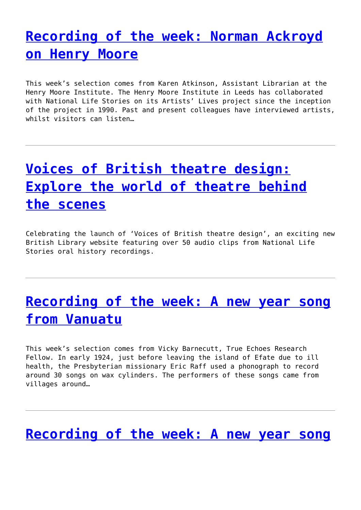## **[Recording of the week: Norman Ackroyd](http://www.government-world.com/recording-of-the-week-norman-ackroyd-on-henry-moore/) [on Henry Moore](http://www.government-world.com/recording-of-the-week-norman-ackroyd-on-henry-moore/)**

This week's selection comes from Karen Atkinson, Assistant Librarian at the Henry Moore Institute. The Henry Moore Institute in Leeds has collaborated with National Life Stories on its Artists' Lives project since the inception of the project in 1990. Past and present colleagues have interviewed artists, whilst visitors can listen…

# **[Voices of British theatre design:](http://www.government-world.com/voices-of-british-theatre-design-explore-the-world-of-theatre-behind-the-scenes/) [Explore the world of theatre behind](http://www.government-world.com/voices-of-british-theatre-design-explore-the-world-of-theatre-behind-the-scenes/) [the scenes](http://www.government-world.com/voices-of-british-theatre-design-explore-the-world-of-theatre-behind-the-scenes/)**

Celebrating the launch of 'Voices of British theatre design', an exciting new British Library website featuring over 50 audio clips from National Life Stories oral history recordings.

### **[Recording of the week: A new year song](http://www.government-world.com/recording-of-the-week-a-new-year-song-from-vanuatu/) [from Vanuatu](http://www.government-world.com/recording-of-the-week-a-new-year-song-from-vanuatu/)**

This week's selection comes from Vicky Barnecutt, True Echoes Research Fellow. In early 1924, just before leaving the island of Efate due to ill health, the Presbyterian missionary Eric Raff used a phonograph to record around 30 songs on wax cylinders. The performers of these songs came from villages around…

#### **[Recording of the week: A new year song](http://www.government-world.com/recording-of-the-week-a-new-year-song-from-vanuatu-2/)**